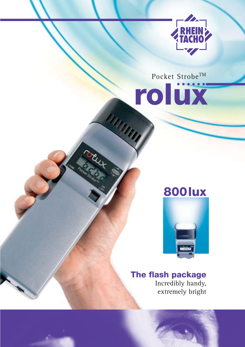

Pocket Strobe<sup>TM</sup> rolüx

MARATTA

# **800 lux**



# The flash package

Incredibly handy, extremely bright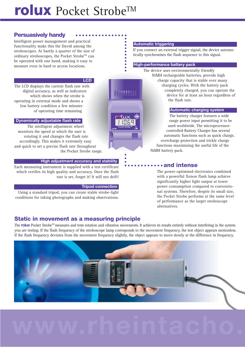# **rolux** Pocket Strobe™

# **Persuasively handy**

Intelligent power management and practical functionality make this the David among the stroboscopes. At barely a quarter of the size of ordinary stroboscopes, the Pocket Strobe<sup>™</sup> can be operated with one hand, making it easy to measure even in hard to access locations.

## **LCD i**

The LCD displays the current flash rate with digital accuracy, as well as indicators which shows when the strobe is operating in external mode and shows a low battery condition a few minutes of operating time remaining

# **Dynamically adjustable flash ratei**

The intelligent adjustment wheel monitors the speed at which the user is rotating it and changes the flash rate accordingly. This makes it extremely easy and quick to set a precise flash rate throughout the Pocket Strobe range.

# **High adjustment accuracy and stabilityi**

Each measuring instrument is supplied with a test certificate which verifies its high quality and accuracy. Once the flash rate is set, forget it! It will not drift!

### **Tripod connectioni**

Using a standard tripod, you can create stable strobe-light conditions for taking photographs and making observations.

## **Automatic triggering**

If you connect an external trigger signal, the device automatically synchronises the flash sequence to this signal.

### **High-performance battery pack**

The device uses environmentally friendly NiMH rechargeable batteries, provide high charge capacity that is stable over many charging cycles. With the battery pack completely charged, you can operate the device for at least an hour regardless of the flash rate.

## **Automatic charging system**

The battery charger features a wide range power input permitting it to be used worldwide. The microprocessorcontrolled Battery Charger has several automatic functions such as quick charge, overcharge protection and trickle charge functions maximizing the useful life of the NiMH battery pack.

# **and intense**

The power-optimised electronics combined with a powerful Xenon flash lamp achieve significantly higher light output at lower power consumption compared to conventional systems. Therefore, despite its small size, the Pocket Strobe performs at the same level of performance as the larger stroboscope alternatives.

# **Static in movement as a measuring principle**

The **rolux** Pocket Strobe<sup>TM</sup> measures and tests rotation and vibration movements. It achieves its results entirely without interfering in the system you are testing. If the flash frequency of the stroboscope lamp corresponds to the movement frequency, the test object appears motionless. If the flash frequency deviates from the movement frequency slightly, the object appears to move slowly at the difference in frequency.

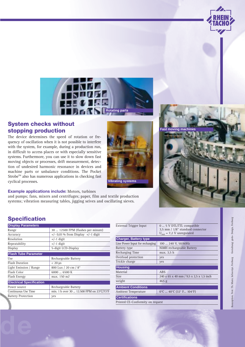

# **System checks without stopping production**

The device determines the speed of rotation or frequency of oscillation when it is not possible to interfere with the system, for example, during a production run, in difficult to access places or with especially sensitive systems. Furthermore, you can use it to slow down fast moving objects or processes, drift measurement, detection of undesired harmonic resonance in devices and machine parts or unbalance conditions. The Pocket Strobe<sup>™</sup> also has numerous applications in checking fast cyclical processes.



# **Example applications include:** Motors, turbines

and pumps; fans, mixers and centrifuges; paper, film and textile production systems; vibration measuring tables, jigging seives and oscillating sieves.

# **Specification**

| <b>Display Parameters</b>       |                                           |
|---------------------------------|-------------------------------------------|
| Range                           | 30  12500 FPM (flashes per minute)        |
| Accuracy                        | $+/-$ 0,01% from Display $+/-1$ digit     |
| Resolution                      | $+/-1$ digit                              |
| Repeatability                   | $+/-1$ digit                              |
| Display                         | 5-digit LCD-Display                       |
| <b>Flash Tube Parameter</b>     |                                           |
| Use                             | Rechargeable Battery                      |
| <b>Flash Duration</b>           | $< 20 \text{ }\mu\text{s}$                |
| Light Emission / Range          | 800 Lux / 20 cm / 8"                      |
| Flash Color                     | 6000  6500 K                              |
| Flash Energy                    | max. 150 mJ                               |
| <b>Electrical Specification</b> |                                           |
| Power source                    | Rechargeable Battery                      |
| Continuous Use Time             | min. 1 h over 30  12.500 FPM on 23°C/73°F |
| <b>Battery Protection</b>       | yes                                       |
|                                 |                                           |

| External Trigger Input          | 0  5 V DTL/TTL compatible                                         |
|---------------------------------|-------------------------------------------------------------------|
|                                 | 3,5 mm / 1/8" standard connector                                  |
|                                 | $U_{\text{out}}$ = 7,2 V unregulated                              |
| <b>Charger, Battery type</b>    |                                                                   |
| Line Power Input for recharging | 100  240 V, 50/60Hz                                               |
| Battery type                    | NiMH rechargeable Battery                                         |
| Recharging Time                 | max. 3,5 h                                                        |
| Overload protection             | yes                                                               |
| Trickle charge                  | yes                                                               |
| <b>Housing</b>                  |                                                                   |
| Material                        | <b>ABS</b>                                                        |
| <b>Size</b>                     | 240 x 65 x 40 mm / 9,5 x 2,5 x 1,5 inch                           |
| weight                          | $465$ g                                                           |
| <b>Ambient Conditions</b>       |                                                                   |
|                                 |                                                                   |
| <b>Ambient Temperature</b>      | $0^{\circ}$ C  40 $^{\circ}$ C (32 $^{\circ}$ F 104 $^{\circ}$ F) |
| <b>Certifications</b>           |                                                                   |
| $D^*$ $I$ $QD^*$ $Q^*$          |                                                                   |